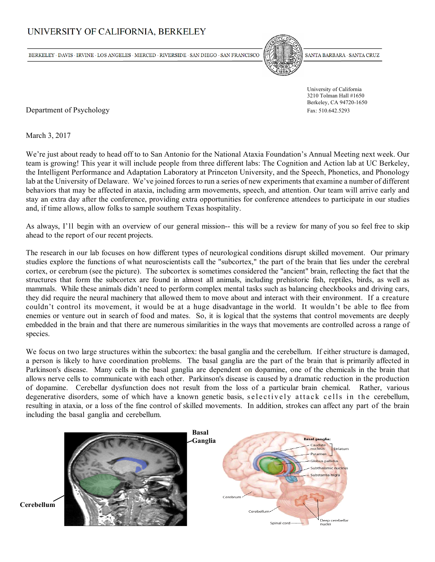# UNIVERSITY OF CALIFORNIA, BERKELEY

BERKELEY · DAVIS · IRVINE · LOS ANGELES · MERCED · RIVERSIDE · SAN DIEGO · SAN FRANCISCO



SANTA BARBARA · SANTA CRUZ

 University of California 3210 Tolman Hall #1650 Berkeley, CA 94720-1650

Department of Psychology Fax: 510.642.5293

March 3, 2017

We're just about ready to head off to to San Antonio for the National Ataxia Foundation's Annual Meeting next week. Our team is growing! This year it will include people from three different labs: The Cognition and Action lab at UC Berkeley, the Intelligent Performance and Adaptation Laboratory at Princeton University, and the Speech, Phonetics, and Phonology lab at the University of Delaware. We've joined forces to run a series of new experiments that examine a number of different behaviors that may be affected in ataxia, including arm movements, speech, and attention. Our team will arrive early and stay an extra day after the conference, providing extra opportunities for conference attendees to participate in our studies and, if time allows, allow folks to sample southern Texas hospitality.

As always, I'll begin with an overview of our general mission-- this will be a review for many of you so feel free to skip ahead to the report of our recent projects.

The research in our lab focuses on how different types of neurological conditions disrupt skilled movement. Our primary studies explore the functions of what neuroscientists call the "subcortex," the part of the brain that lies under the cerebral cortex, or cerebrum (see the picture). The subcortex is sometimes considered the "ancient" brain, reflecting the fact that the structures that form the subcortex are found in almost all animals, including prehistoric fish, reptiles, birds, as well as mammals. While these animals didn't need to perform complex mental tasks such as balancing checkbooks and driving cars, they did require the neural machinery that allowed them to move about and interact with their environment. If a creature couldn't control its movement, it would be at a huge disadvantage in the world. It wouldn't be able to flee from enemies or venture out in search of food and mates. So, it is logical that the systems that control movements are deeply embedded in the brain and that there are numerous similarities in the ways that movements are controlled across a range of species.

We focus on two large structures within the subcortex: the basal ganglia and the cerebellum. If either structure is damaged, a person is likely to have coordination problems. The basal ganglia are the part of the brain that is primarily affected in Parkinson's disease. Many cells in the basal ganglia are dependent on dopamine, one of the chemicals in the brain that allows nerve cells to communicate with each other. Parkinson's disease is caused by a dramatic reduction in the production of dopamine. Cerebellar dysfunction does not result from the loss of a particular brain chemical. Rather, various degenerative disorders, some of which have a known genetic basis, selectively attack cells in the cerebellum, resulting in ataxia, or a loss of the fine control of skilled movements. In addition, strokes can affect any part of the brain including the basal ganglia and cerebellum.



**Cerebellum**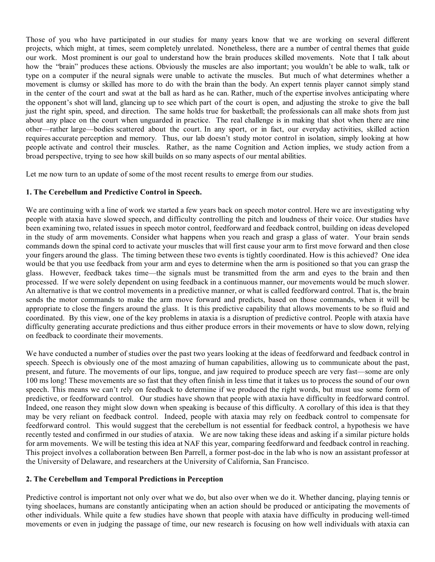Those of you who have participated in our studies for many years know that we are working on several different projects, which might, at times, seem completely unrelated. Nonetheless, there are a number of central themes that guide our work. Most prominent is our goal to understand how the brain produces skilled movements. Note that I talk about how the "brain" produces these actions. Obviously the muscles are also important; you wouldn't be able to walk, talk or type on a computer if the neural signals were unable to activate the muscles. But much of what determines whether a movement is clumsy or skilled has more to do with the brain than the body. An expert tennis player cannot simply stand in the center of the court and swat at the ball as hard as he can. Rather, much of the expertise involves anticipating where the opponent's shot will land, glancing up to see which part of the court is open, and adjusting the stroke to give the ball just the right spin, speed, and direction. The same holds true for basketball; the professionals can all make shots from just about any place on the court when unguarded in practice. The real challenge is in making that shot when there are nine other—rather large—bodies scattered about the court. In any sport, or in fact, our everyday activities, skilled action requires accurate perception and memory. Thus, our lab doesn't study motor control in isolation, simply looking at how people activate and control their muscles. Rather, as the name Cognition and Action implies, we study action from a broad perspective, trying to see how skill builds on so many aspects of our mental abilities.

Let me now turn to an update of some of the most recent results to emerge from our studies.

#### **1. The Cerebellum and Predictive Control in Speech.**

We are continuing with a line of work we started a few years back on speech motor control. Here we are investigating why people with ataxia have slowed speech, and difficulty controlling the pitch and loudness of their voice. Our studies have been examining two, related issues in speech motor control, feedforward and feedback control, building on ideas developed in the study of arm movements. Consider what happens when you reach and grasp a glass of water. Your brain sends commands down the spinal cord to activate your muscles that will first cause your arm to first move forward and then close your fingers around the glass. The timing between these two events is tightly coordinated. How is this achieved? One idea would be that you use feedback from your arm and eyes to determine when the arm is positioned so that you can grasp the glass. However, feedback takes time—the signals must be transmitted from the arm and eyes to the brain and then processed. If we were solely dependent on using feedback in a continuous manner, our movements would be much slower. An alternative is that we control movements in a predictive manner, or what is called feedforward control. That is, the brain sends the motor commands to make the arm move forward and predicts, based on those commands, when it will be appropriate to close the fingers around the glass. It is this predictive capability that allows movements to be so fluid and coordinated. By this view, one of the key problems in ataxia is a disruption of predictive control. People with ataxia have difficulty generating accurate predictions and thus either produce errors in their movements or have to slow down, relying on feedback to coordinate their movements.

We have conducted a number of studies over the past two years looking at the ideas of feedforward and feedback control in speech. Speech is obviously one of the most amazing of human capabilities, allowing us to communicate about the past, present, and future. The movements of our lips, tongue, and jaw required to produce speech are very fast—some are only 100 ms long! These movements are so fast that they often finish in less time that it takes us to process the sound of our own speech. This means we can't rely on feedback to determine if we produced the right words, but must use some form of predictive, or feedforward control. Our studies have shown that people with ataxia have difficulty in feedforward control. Indeed, one reason they might slow down when speaking is because of this difficulty. A corollary of this idea is that they may be very reliant on feedback control. Indeed, people with ataxia may rely on feedback control to compensate for feedforward control. This would suggest that the cerebellum is not essential for feedback control, a hypothesis we have recently tested and confirmed in our studies of ataxia. We are now taking these ideas and asking if a similar picture holds for arm movements. We will be testing this idea at NAF this year, comparing feedforward and feedback control in reaching. This project involves a collaboration between Ben Parrell, a former post-doc in the lab who is now an assistant professor at the University of Delaware, and researchers at the University of California, San Francisco.

#### **2. The Cerebellum and Temporal Predictions in Perception**

Predictive control is important not only over what we do, but also over when we do it. Whether dancing, playing tennis or tying shoelaces, humans are constantly anticipating when an action should be produced or anticipating the movements of other individuals. While quite a few studies have shown that people with ataxia have difficulty in producing well-timed movements or even in judging the passage of time, our new research is focusing on how well individuals with ataxia can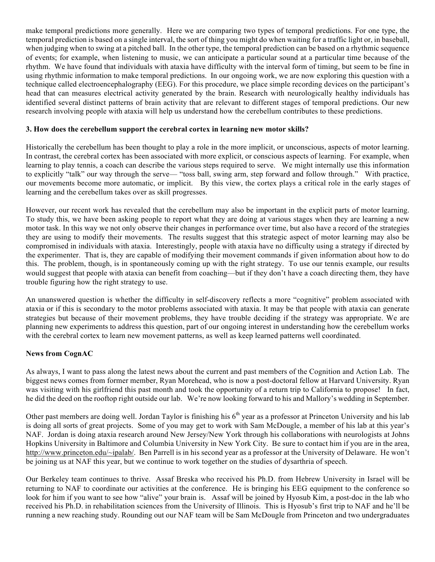make temporal predictions more generally. Here we are comparing two types of temporal predictions. For one type, the temporal prediction is based on a single interval, the sort of thing you might do when waiting for a traffic light or, in baseball, when judging when to swing at a pitched ball. In the other type, the temporal prediction can be based on a rhythmic sequence of events; for example, when listening to music, we can anticipate a particular sound at a particular time because of the rhythm. We have found that individuals with ataxia have difficulty with the interval form of timing, but seem to be fine in using rhythmic information to make temporal predictions. In our ongoing work, we are now exploring this question with a technique called electroencephalography (EEG). For this procedure, we place simple recording devices on the participant's head that can measures electrical activity generated by the brain. Research with neurologically healthy individuals has identified several distinct patterns of brain activity that are relevant to different stages of temporal predictions. Our new research involving people with ataxia will help us understand how the cerebellum contributes to these predictions.

### **3. How does the cerebellum support the cerebral cortex in learning new motor skills?**

Historically the cerebellum has been thought to play a role in the more implicit, or unconscious, aspects of motor learning. In contrast, the cerebral cortex has been associated with more explicit, or conscious aspects of learning. For example, when learning to play tennis, a coach can describe the various steps required to serve. We might internally use this information to explicitly "talk" our way through the serve— "toss ball, swing arm, step forward and follow through." With practice, our movements become more automatic, or implicit. By this view, the cortex plays a critical role in the early stages of learning and the cerebellum takes over as skill progresses.

However, our recent work has revealed that the cerebellum may also be important in the explicit parts of motor learning. To study this, we have been asking people to report what they are doing at various stages when they are learning a new motor task. In this way we not only observe their changes in performance over time, but also have a record of the strategies they are using to modify their movements. The results suggest that this strategic aspect of motor learning may also be compromised in individuals with ataxia. Interestingly, people with ataxia have no difficulty using a strategy if directed by the experimenter. That is, they are capable of modifying their movement commands if given information about how to do this. The problem, though, is in spontaneously coming up with the right strategy. To use our tennis example, our results would suggest that people with ataxia can benefit from coaching—but if they don't have a coach directing them, they have trouble figuring how the right strategy to use.

An unanswered question is whether the difficulty in self-discovery reflects a more "cognitive" problem associated with ataxia or if this is secondary to the motor problems associated with ataxia. It may be that people with ataxia can generate strategies but because of their movement problems, they have trouble deciding if the strategy was appropriate. We are planning new experiments to address this question, part of our ongoing interest in understanding how the cerebellum works with the cerebral cortex to learn new movement patterns, as well as keep learned patterns well coordinated.

## **News from CognAC**

As always, I want to pass along the latest news about the current and past members of the Cognition and Action Lab. The biggest news comes from former member, Ryan Morehead, who is now a post-doctoral fellow at Harvard University. Ryan was visiting with his girlfriend this past month and took the opportunity of a return trip to California to propose! In fact, he did the deed on the rooftop right outside our lab. We're now looking forward to his and Mallory's wedding in September.

Other past members are doing well. Jordan Taylor is finishing his 6<sup>th</sup> year as a professor at Princeton University and his lab is doing all sorts of great projects. Some of you may get to work with Sam McDougle, a member of his lab at this year's NAF. Jordan is doing ataxia research around New Jersey/New York through his collaborations with neurologists at Johns Hopkins University in Baltimore and Columbia University in New York City. Be sure to contact him if you are in the area, http://www.princeton.edu/~ipalab/. Ben Parrell is in his second year as a professor at the University of Delaware. He won't be joining us at NAF this year, but we continue to work together on the studies of dysarthria of speech.

Our Berkeley team continues to thrive. Assaf Breska who received his Ph.D. from Hebrew University in Israel will be returning to NAF to coordinate our activities at the conference. He is bringing his EEG equipment to the conference so look for him if you want to see how "alive" your brain is. Assaf will be joined by Hyosub Kim, a post-doc in the lab who received his Ph.D. in rehabilitation sciences from the University of Illinois. This is Hyosub's first trip to NAF and he'll be running a new reaching study. Rounding out our NAF team will be Sam McDougle from Princeton and two undergraduates